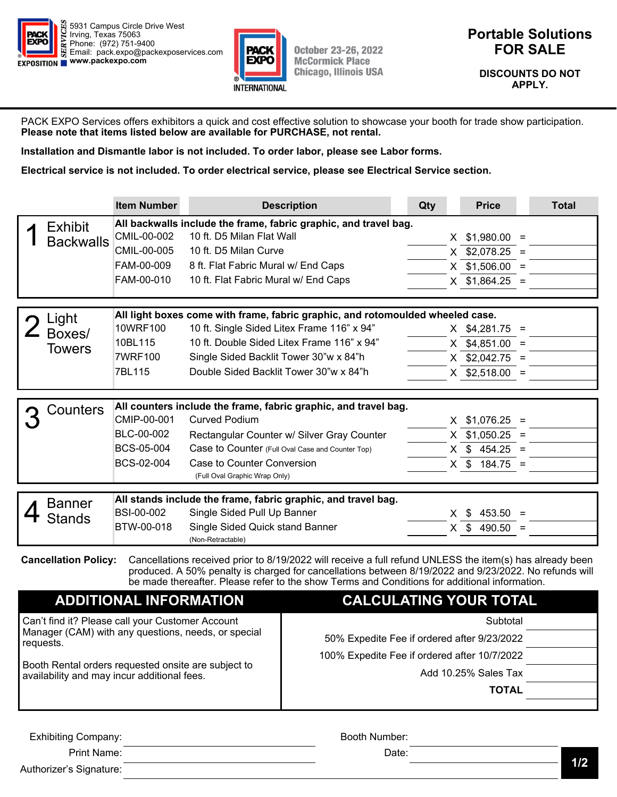



**October 23-26, 2022 McCormick Place Chicago, Illinois USA** 

**DISCOUNTS DO NOT** APPLY.

PACK EXPO Services offers exhibitors a quick and cost effective solution to showcase your booth for trade show participation. **Please note that items listed below are available for PURCHASE, not rental.** 

**Installation and Dismantle labor is not included. To order labor, please see Labor forms.** 

**Electrical service is not included. To order electrical service, please see Electrical Service section.** 

|                                                                                |                                                  | <b>Item Number</b>            |                                                                  | <b>Description</b>                                                                                                                                                                                                                                                                                                 | Qty      | <b>Price</b>                 |          | <b>Total</b> |
|--------------------------------------------------------------------------------|--------------------------------------------------|-------------------------------|------------------------------------------------------------------|--------------------------------------------------------------------------------------------------------------------------------------------------------------------------------------------------------------------------------------------------------------------------------------------------------------------|----------|------------------------------|----------|--------------|
|                                                                                | <b>Exhibit</b>                                   |                               | All backwalls include the frame, fabric graphic, and travel bag. |                                                                                                                                                                                                                                                                                                                    |          |                              |          |              |
|                                                                                | <b>Backwalls</b>                                 | CMIL-00-002                   | 10 ft. D5 Milan Flat Wall                                        |                                                                                                                                                                                                                                                                                                                    |          | $X$ \$1,980.00 =             |          |              |
|                                                                                |                                                  | CMIL-00-005                   | 10 ft. D5 Milan Curve                                            |                                                                                                                                                                                                                                                                                                                    |          | $X$ \$2,078.25 =             |          |              |
|                                                                                |                                                  | FAM-00-009                    | 8 ft. Flat Fabric Mural w/ End Caps                              |                                                                                                                                                                                                                                                                                                                    |          | X \$1,506.00                 |          |              |
|                                                                                |                                                  | FAM-00-010                    | 10 ft. Flat Fabric Mural w/ End Caps                             |                                                                                                                                                                                                                                                                                                                    |          | X \$1,864.25                 | $=$      |              |
|                                                                                |                                                  |                               |                                                                  |                                                                                                                                                                                                                                                                                                                    |          |                              |          |              |
| All light boxes come with frame, fabric graphic, and rotomoulded wheeled case. |                                                  |                               |                                                                  |                                                                                                                                                                                                                                                                                                                    |          |                              |          |              |
|                                                                                | Light<br>Boxes/                                  | 10WRF100                      |                                                                  | 10 ft. Single Sided Litex Frame 116" x 94"                                                                                                                                                                                                                                                                         |          | $X$ \$4,281.75 =             |          |              |
|                                                                                |                                                  | 10BL115                       |                                                                  | 10 ft. Double Sided Litex Frame 116" x 94"                                                                                                                                                                                                                                                                         |          | X \$4,851.00                 |          |              |
|                                                                                | <b>Towers</b>                                    | 7WRF100                       | Single Sided Backlit Tower 30"w x 84"h                           |                                                                                                                                                                                                                                                                                                                    |          | X \$2,042.75                 |          |              |
|                                                                                |                                                  | 7BL115                        | Double Sided Backlit Tower 30"w x 84"h                           |                                                                                                                                                                                                                                                                                                                    |          | X \$2,518.00                 | $\equiv$ |              |
|                                                                                |                                                  |                               |                                                                  |                                                                                                                                                                                                                                                                                                                    |          |                              |          |              |
| All counters include the frame, fabric graphic, and travel bag.                |                                                  |                               |                                                                  |                                                                                                                                                                                                                                                                                                                    |          |                              |          |              |
|                                                                                | Counters                                         | CMIP-00-001                   | <b>Curved Podium</b>                                             |                                                                                                                                                                                                                                                                                                                    |          | $X$ \$1,076.25 =             |          |              |
|                                                                                |                                                  | BLC-00-002                    |                                                                  | Rectangular Counter w/ Silver Gray Counter                                                                                                                                                                                                                                                                         |          | $X$ \$1,050.25 =             |          |              |
|                                                                                |                                                  | <b>BCS-05-004</b>             | Case to Counter (Full Oval Case and Counter Top)                 |                                                                                                                                                                                                                                                                                                                    |          | X \$ 454.25                  |          |              |
|                                                                                |                                                  | BCS-02-004                    | <b>Case to Counter Conversion</b>                                |                                                                                                                                                                                                                                                                                                                    |          | $X$ \$ 184.75 =              |          |              |
|                                                                                |                                                  |                               | (Full Oval Graphic Wrap Only)                                    |                                                                                                                                                                                                                                                                                                                    |          |                              |          |              |
|                                                                                |                                                  |                               |                                                                  |                                                                                                                                                                                                                                                                                                                    |          |                              |          |              |
|                                                                                | <b>Banner</b>                                    | BSI-00-002                    | Single Sided Pull Up Banner                                      | All stands include the frame, fabric graphic, and travel bag.                                                                                                                                                                                                                                                      |          | $X$ \$ 453.50 =              |          |              |
|                                                                                | <b>Stands</b>                                    | BTW-00-018                    | Single Sided Quick stand Banner                                  |                                                                                                                                                                                                                                                                                                                    | $\times$ | $\mathfrak{S}$<br>$490.50 =$ |          |              |
|                                                                                |                                                  |                               | (Non-Retractable)                                                |                                                                                                                                                                                                                                                                                                                    |          |                              |          |              |
|                                                                                | <b>Cancellation Policy:</b>                      |                               |                                                                  | Cancellations received prior to 8/19/2022 will receive a full refund UNLESS the item(s) has already been<br>produced. A 50% penalty is charged for cancellations between 8/19/2022 and 9/23/2022. No refunds will<br>be made thereafter. Please refer to the show Terms and Conditions for additional information. |          |                              |          |              |
|                                                                                |                                                  | <b>ADDITIONAL INFORMATION</b> |                                                                  | <b>CALCULATING YOUR TOTAL</b>                                                                                                                                                                                                                                                                                      |          |                              |          |              |
|                                                                                | Can't find it? Please call your Customer Account |                               |                                                                  |                                                                                                                                                                                                                                                                                                                    |          | Subtotal                     |          |              |

Can't find it? Please call your Customer Account Manager (CAM) with any questions, needs, or special requests.

Booth Rental orders requested onsite are subject to availability and may incur additional fees.

50% Expedite Fee if ordered after 9/23/2022 100% Expedite Fee if ordered after 10/7/2022

Add 10.25% Sales Tax

**TOTAL** 

| <b>Exhibiting Company:</b> | Booth Number: |     |
|----------------------------|---------------|-----|
| Print Name:                | Date:         |     |
| Authorizer's Signature:    |               | 1/2 |